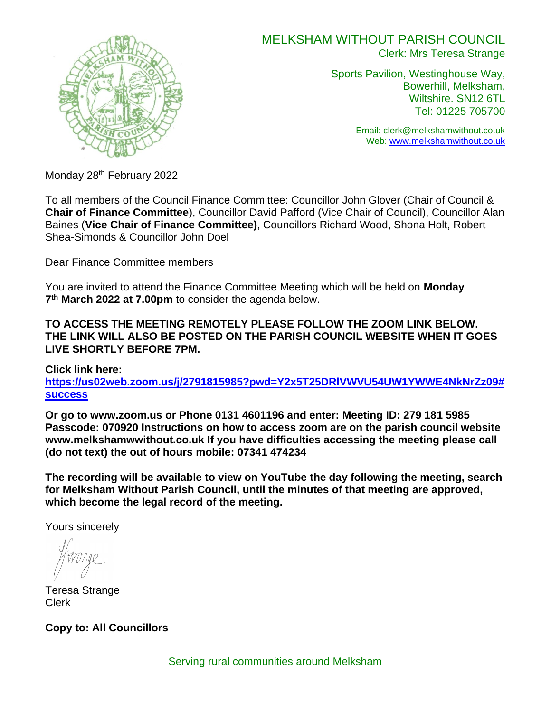

# MELKSHAM WITHOUT PARISH COUNCIL Clerk: Mrs Teresa Strange

Sports Pavilion, Westinghouse Way, Bowerhill, Melksham, Wiltshire. SN12 6TL Tel: 01225 705700

> Email: [clerk@melkshamwithout.co.uk](mailto:clerk@melkshamwithout.co.uk) Web: [www.melkshamwithout.co.uk](http://www.melkshamwithout.co.uk/)

Monday 28<sup>th</sup> February 2022

To all members of the Council Finance Committee: Councillor John Glover (Chair of Council & **Chair of Finance Committee**), Councillor David Pafford (Vice Chair of Council), Councillor Alan Baines (**Vice Chair of Finance Committee)**, Councillors Richard Wood, Shona Holt, Robert Shea-Simonds & Councillor John Doel

Dear Finance Committee members

You are invited to attend the Finance Committee Meeting which will be held on **Monday 7 th March 2022 at 7.00pm** to consider the agenda below.

**TO ACCESS THE MEETING REMOTELY PLEASE FOLLOW THE ZOOM LINK BELOW. THE LINK WILL ALSO BE POSTED ON THE PARISH COUNCIL WEBSITE WHEN IT GOES LIVE SHORTLY BEFORE 7PM.**

**Click link here:** 

**[https://us02web.zoom.us/j/2791815985?pwd=Y2x5T25DRlVWVU54UW1YWWE4NkNrZz09#](https://us02web.zoom.us/j/2791815985?pwd=Y2x5T25DRlVWVU54UW1YWWE4NkNrZz09#success) [success](https://us02web.zoom.us/j/2791815985?pwd=Y2x5T25DRlVWVU54UW1YWWE4NkNrZz09#success)**

**Or go to www.zoom.us or Phone 0131 4601196 and enter: Meeting ID: 279 181 5985 Passcode: 070920 Instructions on how to access zoom are on the parish council website www.melkshamwwithout.co.uk If you have difficulties accessing the meeting please call (do not text) the out of hours mobile: 07341 474234**

**The recording will be available to view on YouTube the day following the meeting, search for Melksham Without Parish Council, until the minutes of that meeting are approved, which become the legal record of the meeting.**

Yours sincerely

Teresa Strange Clerk

**Copy to: All Councillors**